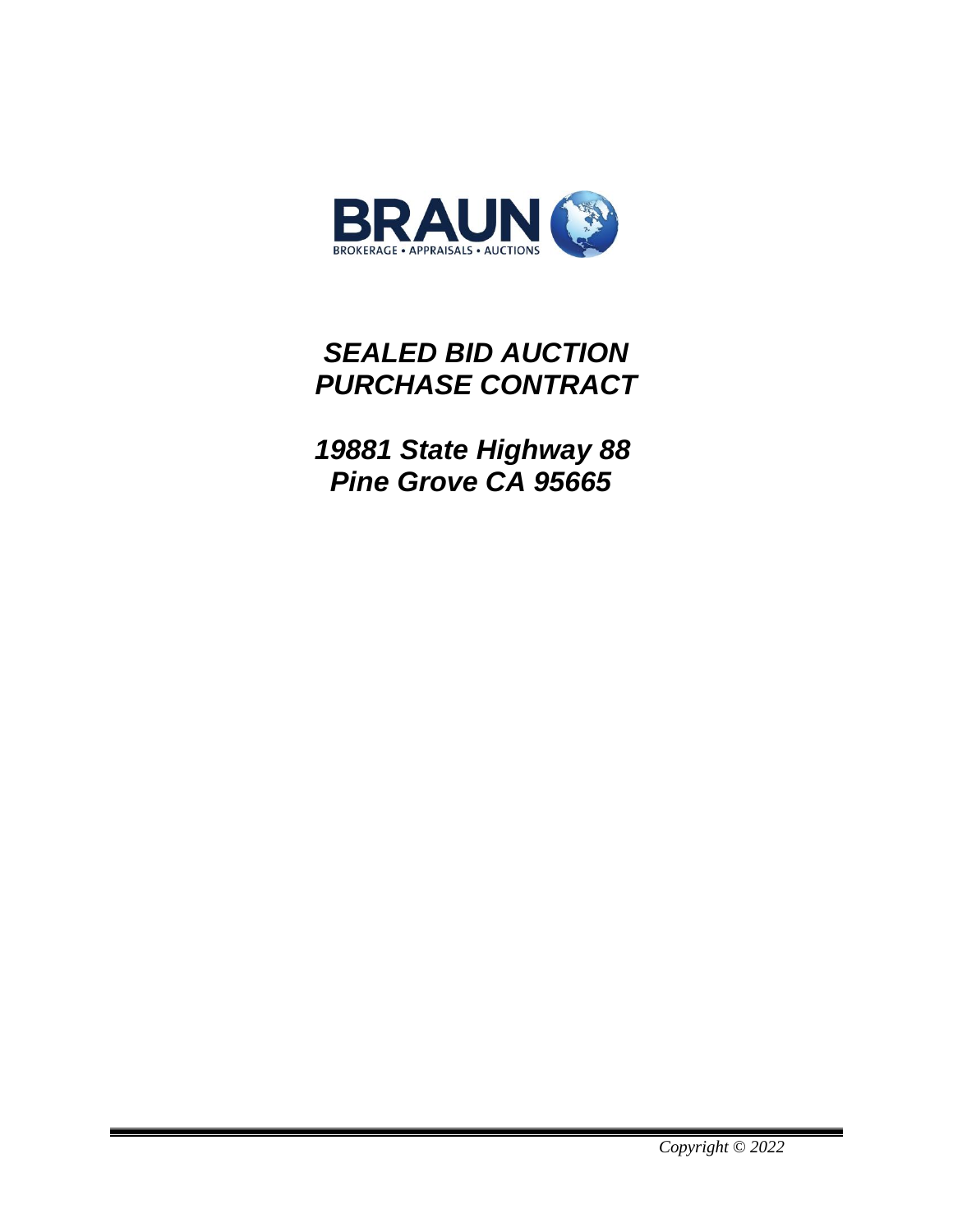

# *SEALED BID AUCTION PURCHASE CONTRACT*

 *19881 State Highway 88 Pine Grove CA 95665*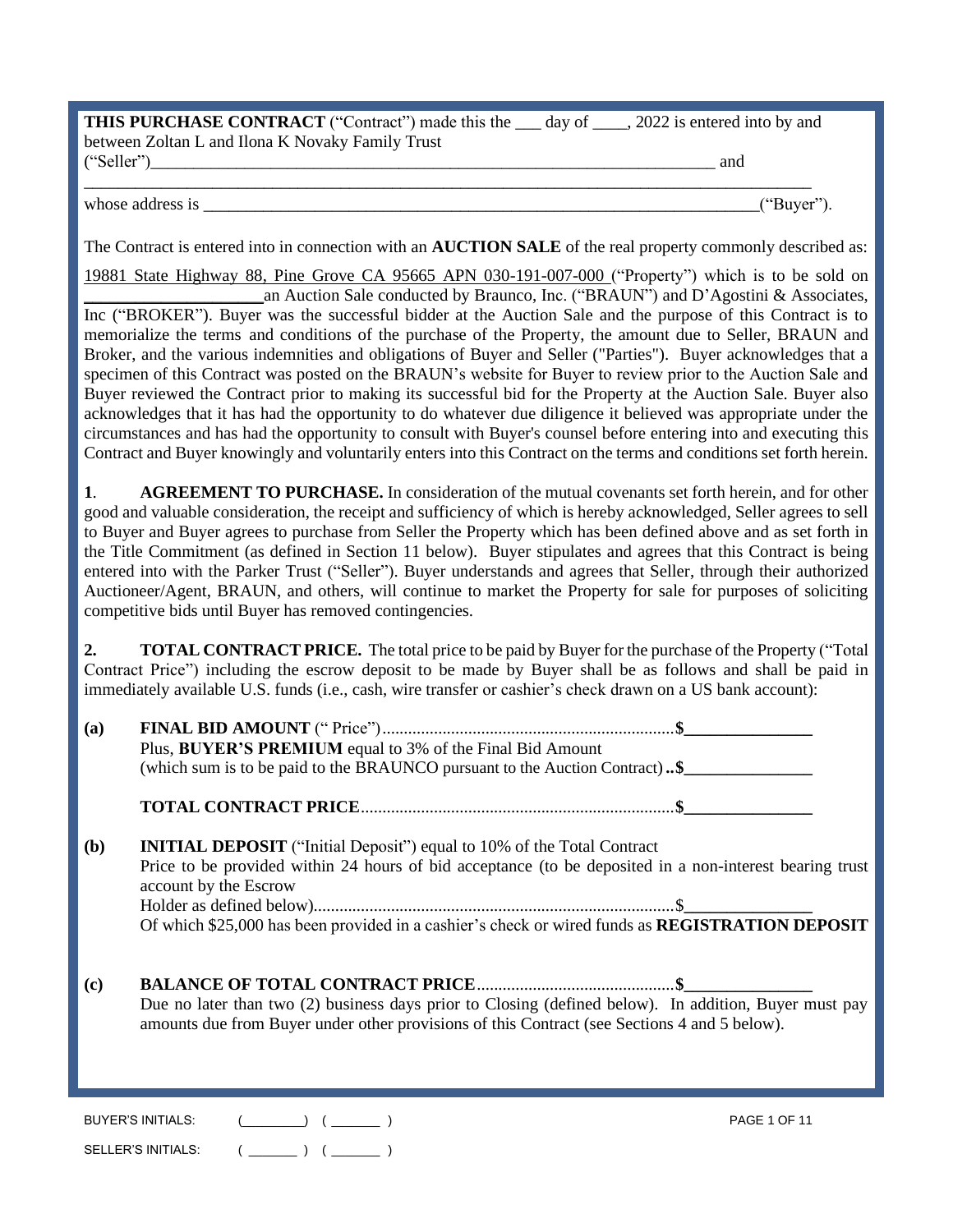| <b>THIS PURCHASE CONTRACT</b> ("Contract") made this the <u>same</u> day of | $\alpha$ , 2022 is entered into by and |
|-----------------------------------------------------------------------------|----------------------------------------|
| between Zoltan L and Ilona K Novaky Family Trust                            |                                        |
| ("Seller")                                                                  | and                                    |
|                                                                             |                                        |

SELLER'S INITIALS:  $($  \_\_\_\_\_\_\_  $)$   $($  \_\_\_\_\_\_  $)$ 

whose address is  $($ "Buyer").

The Contract is entered into in connection with an **AUCTION SALE** of the real property commonly described as:

19881 State Highway 88, Pine Grove CA 95665 APN 030-191-007-000 ("Property") which is to be sold on \_\_\_\_\_\_\_\_\_\_\_\_\_\_\_\_\_\_\_\_\_an Auction Sale conducted by Braunco, Inc. ("BRAUN") and D'Agostini & Associates, Inc ("BROKER"). Buyer was the successful bidder at the Auction Sale and the purpose of this Contract is to memorialize the terms and conditions of the purchase of the Property, the amount due to Seller, BRAUN and Broker, and the various indemnities and obligations of Buyer and Seller ("Parties"). Buyer acknowledges that a specimen of this Contract was posted on the BRAUN's website for Buyer to review prior to the Auction Sale and Buyer reviewed the Contract prior to making its successful bid for the Property at the Auction Sale. Buyer also acknowledges that it has had the opportunity to do whatever due diligence it believed was appropriate under the circumstances and has had the opportunity to consult with Buyer's counsel before entering into and executing this Contract and Buyer knowingly and voluntarily enters into this Contract on the terms and conditions set forth herein.

**1**. **AGREEMENT TO PURCHASE.** In consideration of the mutual covenants set forth herein, and for other good and valuable consideration, the receipt and sufficiency of which is hereby acknowledged, Seller agrees to sell to Buyer and Buyer agrees to purchase from Seller the Property which has been defined above and as set forth in the Title Commitment (as defined in Section 11 below). Buyer stipulates and agrees that this Contract is being entered into with the Parker Trust ("Seller"). Buyer understands and agrees that Seller, through their authorized Auctioneer/Agent, BRAUN, and others, will continue to market the Property for sale for purposes of soliciting competitive bids until Buyer has removed contingencies.

**2. TOTAL CONTRACT PRICE.** The total price to be paid by Buyer for the purchase of the Property ("Total Contract Price") including the escrow deposit to be made by Buyer shall be as follows and shall be paid in immediately available U.S. funds (i.e., cash, wire transfer or cashier's check drawn on a US bank account):

| (a)        | Plus, BUYER'S PREMIUM equal to 3% of the Final Bid Amount                                                                        |                     |
|------------|----------------------------------------------------------------------------------------------------------------------------------|---------------------|
|            | (which sum is to be paid to the BRAUNCO pursuant to the Auction Contract). \$                                                    |                     |
|            |                                                                                                                                  |                     |
| <b>(b)</b> | <b>INITIAL DEPOSIT</b> ("Initial Deposit") equal to 10% of the Total Contract                                                    |                     |
|            | Price to be provided within 24 hours of bid acceptance (to be deposited in a non-interest bearing trust<br>account by the Escrow |                     |
|            |                                                                                                                                  |                     |
|            |                                                                                                                                  |                     |
| (c)        | Due no later than two (2) business days prior to Closing (defined below). In addition, Buyer must pay                            |                     |
|            | amounts due from Buyer under other provisions of this Contract (see Sections 4 and 5 below).                                     |                     |
|            |                                                                                                                                  |                     |
|            | <b>BUYER'S INITIALS:</b><br>$\begin{pmatrix} 1 & 1 \\ 1 & 1 \end{pmatrix}$ $\begin{pmatrix} 1 & 1 \\ 1 & 1 \end{pmatrix}$        | <b>PAGE 1 OF 11</b> |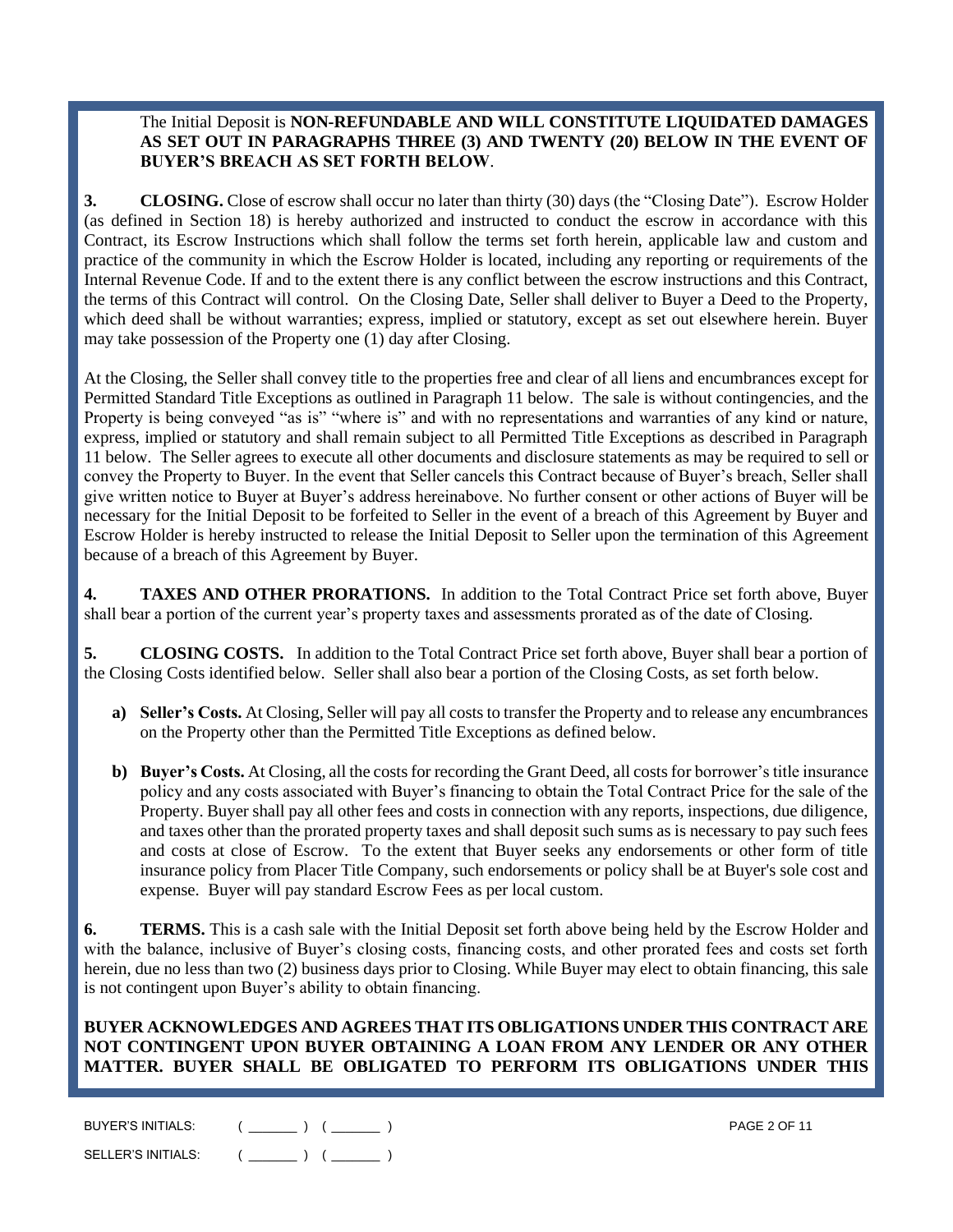## The Initial Deposit is **NON-REFUNDABLE AND WILL CONSTITUTE LIQUIDATED DAMAGES AS SET OUT IN PARAGRAPHS THREE (3) AND TWENTY (20) BELOW IN THE EVENT OF BUYER'S BREACH AS SET FORTH BELOW**.

**3. CLOSING.** Close of escrow shall occur no later than thirty (30) days (the "Closing Date"). Escrow Holder (as defined in Section 18) is hereby authorized and instructed to conduct the escrow in accordance with this Contract, its Escrow Instructions which shall follow the terms set forth herein, applicable law and custom and practice of the community in which the Escrow Holder is located, including any reporting or requirements of the Internal Revenue Code. If and to the extent there is any conflict between the escrow instructions and this Contract, the terms of this Contract will control. On the Closing Date, Seller shall deliver to Buyer a Deed to the Property, which deed shall be without warranties; express, implied or statutory, except as set out elsewhere herein. Buyer may take possession of the Property one (1) day after Closing.

At the Closing, the Seller shall convey title to the properties free and clear of all liens and encumbrances except for Permitted Standard Title Exceptions as outlined in Paragraph 11 below. The sale is without contingencies, and the Property is being conveyed "as is" "where is" and with no representations and warranties of any kind or nature, express, implied or statutory and shall remain subject to all Permitted Title Exceptions as described in Paragraph 11 below. The Seller agrees to execute all other documents and disclosure statements as may be required to sell or convey the Property to Buyer. In the event that Seller cancels this Contract because of Buyer's breach, Seller shall give written notice to Buyer at Buyer's address hereinabove. No further consent or other actions of Buyer will be necessary for the Initial Deposit to be forfeited to Seller in the event of a breach of this Agreement by Buyer and Escrow Holder is hereby instructed to release the Initial Deposit to Seller upon the termination of this Agreement because of a breach of this Agreement by Buyer.

**4. TAXES AND OTHER PRORATIONS.** In addition to the Total Contract Price set forth above, Buyer shall bear a portion of the current year's property taxes and assessments prorated as of the date of Closing.

**5. CLOSING COSTS.** In addition to the Total Contract Price set forth above, Buyer shall bear a portion of the Closing Costs identified below. Seller shall also bear a portion of the Closing Costs, as set forth below.

- **a) Seller's Costs.** At Closing, Seller will pay all costs to transfer the Property and to release any encumbrances on the Property other than the Permitted Title Exceptions as defined below.
- **b) Buyer's Costs.** At Closing, all the costs for recording the Grant Deed, all costs for borrower's title insurance policy and any costs associated with Buyer's financing to obtain the Total Contract Price for the sale of the Property. Buyer shall pay all other fees and costs in connection with any reports, inspections, due diligence, and taxes other than the prorated property taxes and shall deposit such sums as is necessary to pay such fees and costs at close of Escrow. To the extent that Buyer seeks any endorsements or other form of title insurance policy from Placer Title Company, such endorsements or policy shall be at Buyer's sole cost and expense. Buyer will pay standard Escrow Fees as per local custom.

**6. TERMS.** This is a cash sale with the Initial Deposit set forth above being held by the Escrow Holder and with the balance, inclusive of Buyer's closing costs, financing costs, and other prorated fees and costs set forth herein, due no less than two (2) business days prior to Closing. While Buyer may elect to obtain financing, this sale is not contingent upon Buyer's ability to obtain financing.

**BUYER ACKNOWLEDGES AND AGREES THAT ITS OBLIGATIONS UNDER THIS CONTRACT ARE NOT CONTINGENT UPON BUYER OBTAINING A LOAN FROM ANY LENDER OR ANY OTHER MATTER. BUYER SHALL BE OBLIGATED TO PERFORM ITS OBLIGATIONS UNDER THIS** 

| BUYER'S INITIALS:  | <b>PAGE 2 OF 11</b> |
|--------------------|---------------------|
| SELLER'S INITIALS: |                     |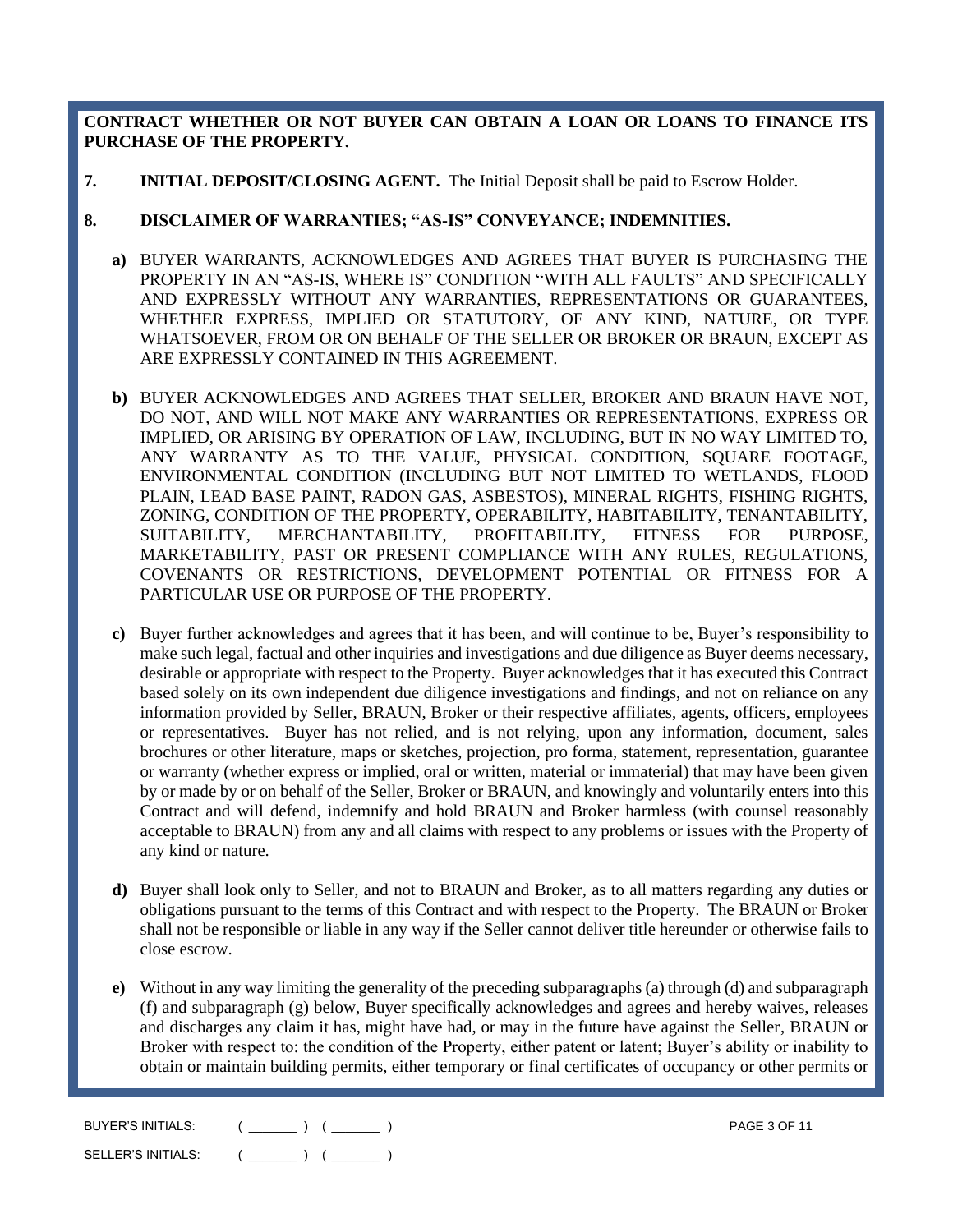**CONTRACT WHETHER OR NOT BUYER CAN OBTAIN A LOAN OR LOANS TO FINANCE ITS PURCHASE OF THE PROPERTY.**

**7. INITIAL DEPOSIT/CLOSING AGENT.** The Initial Deposit shall be paid to Escrow Holder.

#### **8. DISCLAIMER OF WARRANTIES; "AS-IS" CONVEYANCE; INDEMNITIES.**

- **a)** BUYER WARRANTS, ACKNOWLEDGES AND AGREES THAT BUYER IS PURCHASING THE PROPERTY IN AN "AS-IS, WHERE IS" CONDITION "WITH ALL FAULTS" AND SPECIFICALLY AND EXPRESSLY WITHOUT ANY WARRANTIES, REPRESENTATIONS OR GUARANTEES, WHETHER EXPRESS, IMPLIED OR STATUTORY, OF ANY KIND, NATURE, OR TYPE WHATSOEVER, FROM OR ON BEHALF OF THE SELLER OR BROKER OR BRAUN, EXCEPT AS ARE EXPRESSLY CONTAINED IN THIS AGREEMENT.
- **b)** BUYER ACKNOWLEDGES AND AGREES THAT SELLER, BROKER AND BRAUN HAVE NOT, DO NOT, AND WILL NOT MAKE ANY WARRANTIES OR REPRESENTATIONS, EXPRESS OR IMPLIED, OR ARISING BY OPERATION OF LAW, INCLUDING, BUT IN NO WAY LIMITED TO, ANY WARRANTY AS TO THE VALUE, PHYSICAL CONDITION, SQUARE FOOTAGE, ENVIRONMENTAL CONDITION (INCLUDING BUT NOT LIMITED TO WETLANDS, FLOOD PLAIN, LEAD BASE PAINT, RADON GAS, ASBESTOS), MINERAL RIGHTS, FISHING RIGHTS, ZONING, CONDITION OF THE PROPERTY, OPERABILITY, HABITABILITY, TENANTABILITY, SUITABILITY, MERCHANTABILITY, PROFITABILITY, FITNESS FOR PURPOSE, MARKETABILITY, PAST OR PRESENT COMPLIANCE WITH ANY RULES, REGULATIONS, COVENANTS OR RESTRICTIONS, DEVELOPMENT POTENTIAL OR FITNESS FOR A PARTICULAR USE OR PURPOSE OF THE PROPERTY.
- **c)** Buyer further acknowledges and agrees that it has been, and will continue to be, Buyer's responsibility to make such legal, factual and other inquiries and investigations and due diligence as Buyer deems necessary, desirable or appropriate with respect to the Property. Buyer acknowledges that it has executed this Contract based solely on its own independent due diligence investigations and findings, and not on reliance on any information provided by Seller, BRAUN, Broker or their respective affiliates, agents, officers, employees or representatives. Buyer has not relied, and is not relying, upon any information, document, sales brochures or other literature, maps or sketches, projection, pro forma, statement, representation, guarantee or warranty (whether express or implied, oral or written, material or immaterial) that may have been given by or made by or on behalf of the Seller, Broker or BRAUN, and knowingly and voluntarily enters into this Contract and will defend, indemnify and hold BRAUN and Broker harmless (with counsel reasonably acceptable to BRAUN) from any and all claims with respect to any problems or issues with the Property of any kind or nature.
- **d)** Buyer shall look only to Seller, and not to BRAUN and Broker, as to all matters regarding any duties or obligations pursuant to the terms of this Contract and with respect to the Property. The BRAUN or Broker shall not be responsible or liable in any way if the Seller cannot deliver title hereunder or otherwise fails to close escrow.
- **e)** Without in any way limiting the generality of the preceding subparagraphs (a) through (d) and subparagraph (f) and subparagraph (g) below, Buyer specifically acknowledges and agrees and hereby waives, releases and discharges any claim it has, might have had, or may in the future have against the Seller, BRAUN or Broker with respect to: the condition of the Property, either patent or latent; Buyer's ability or inability to obtain or maintain building permits, either temporary or final certificates of occupancy or other permits or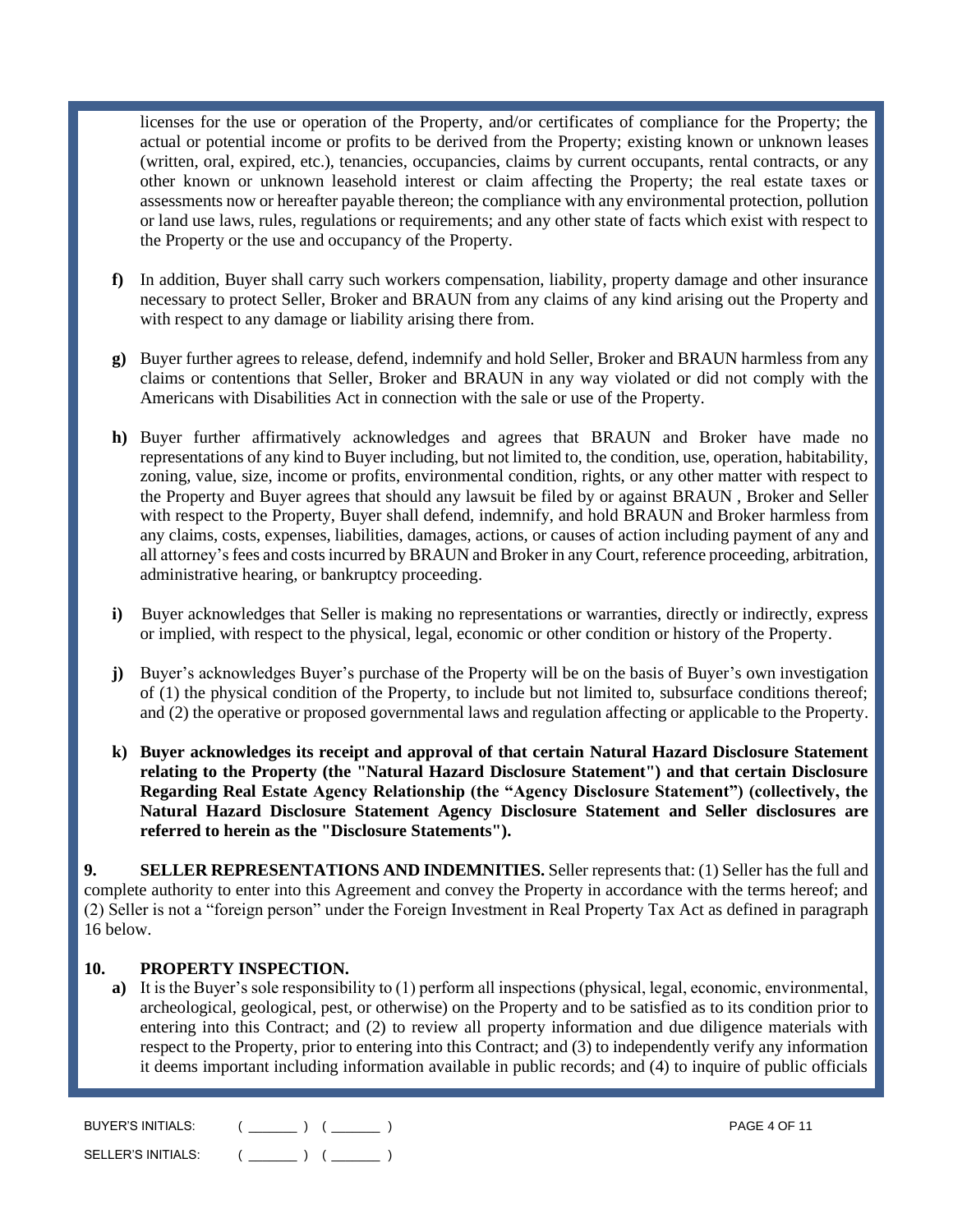licenses for the use or operation of the Property, and/or certificates of compliance for the Property; the actual or potential income or profits to be derived from the Property; existing known or unknown leases (written, oral, expired, etc.), tenancies, occupancies, claims by current occupants, rental contracts, or any other known or unknown leasehold interest or claim affecting the Property; the real estate taxes or assessments now or hereafter payable thereon; the compliance with any environmental protection, pollution or land use laws, rules, regulations or requirements; and any other state of facts which exist with respect to the Property or the use and occupancy of the Property.

- **f)** In addition, Buyer shall carry such workers compensation, liability, property damage and other insurance necessary to protect Seller, Broker and BRAUN from any claims of any kind arising out the Property and with respect to any damage or liability arising there from.
- **g)** Buyer further agrees to release, defend, indemnify and hold Seller, Broker and BRAUN harmless from any claims or contentions that Seller, Broker and BRAUN in any way violated or did not comply with the Americans with Disabilities Act in connection with the sale or use of the Property.
- **h)** Buyer further affirmatively acknowledges and agrees that BRAUN and Broker have made no representations of any kind to Buyer including, but not limited to, the condition, use, operation, habitability, zoning, value, size, income or profits, environmental condition, rights, or any other matter with respect to the Property and Buyer agrees that should any lawsuit be filed by or against BRAUN , Broker and Seller with respect to the Property, Buyer shall defend, indemnify, and hold BRAUN and Broker harmless from any claims, costs, expenses, liabilities, damages, actions, or causes of action including payment of any and all attorney's fees and costs incurred by BRAUN and Broker in any Court, reference proceeding, arbitration, administrative hearing, or bankruptcy proceeding.
- **i)** Buyer acknowledges that Seller is making no representations or warranties, directly or indirectly, express or implied, with respect to the physical, legal, economic or other condition or history of the Property.
- **j)** Buyer's acknowledges Buyer's purchase of the Property will be on the basis of Buyer's own investigation of (1) the physical condition of the Property, to include but not limited to, subsurface conditions thereof; and (2) the operative or proposed governmental laws and regulation affecting or applicable to the Property.
- **k) Buyer acknowledges its receipt and approval of that certain Natural Hazard Disclosure Statement relating to the Property (the "Natural Hazard Disclosure Statement") and that certain Disclosure Regarding Real Estate Agency Relationship (the "Agency Disclosure Statement") (collectively, the Natural Hazard Disclosure Statement Agency Disclosure Statement and Seller disclosures are referred to herein as the "Disclosure Statements").**

**9. SELLER REPRESENTATIONS AND INDEMNITIES.** Seller represents that: (1) Seller has the full and complete authority to enter into this Agreement and convey the Property in accordance with the terms hereof; and (2) Seller is not a "foreign person" under the Foreign Investment in Real Property Tax Act as defined in paragraph 16 below.

#### **10. PROPERTY INSPECTION.**

**a)** It is the Buyer's sole responsibility to (1) perform all inspections (physical, legal, economic, environmental, archeological, geological, pest, or otherwise) on the Property and to be satisfied as to its condition prior to entering into this Contract; and (2) to review all property information and due diligence materials with respect to the Property, prior to entering into this Contract; and (3) to independently verify any information it deems important including information available in public records; and (4) to inquire of public officials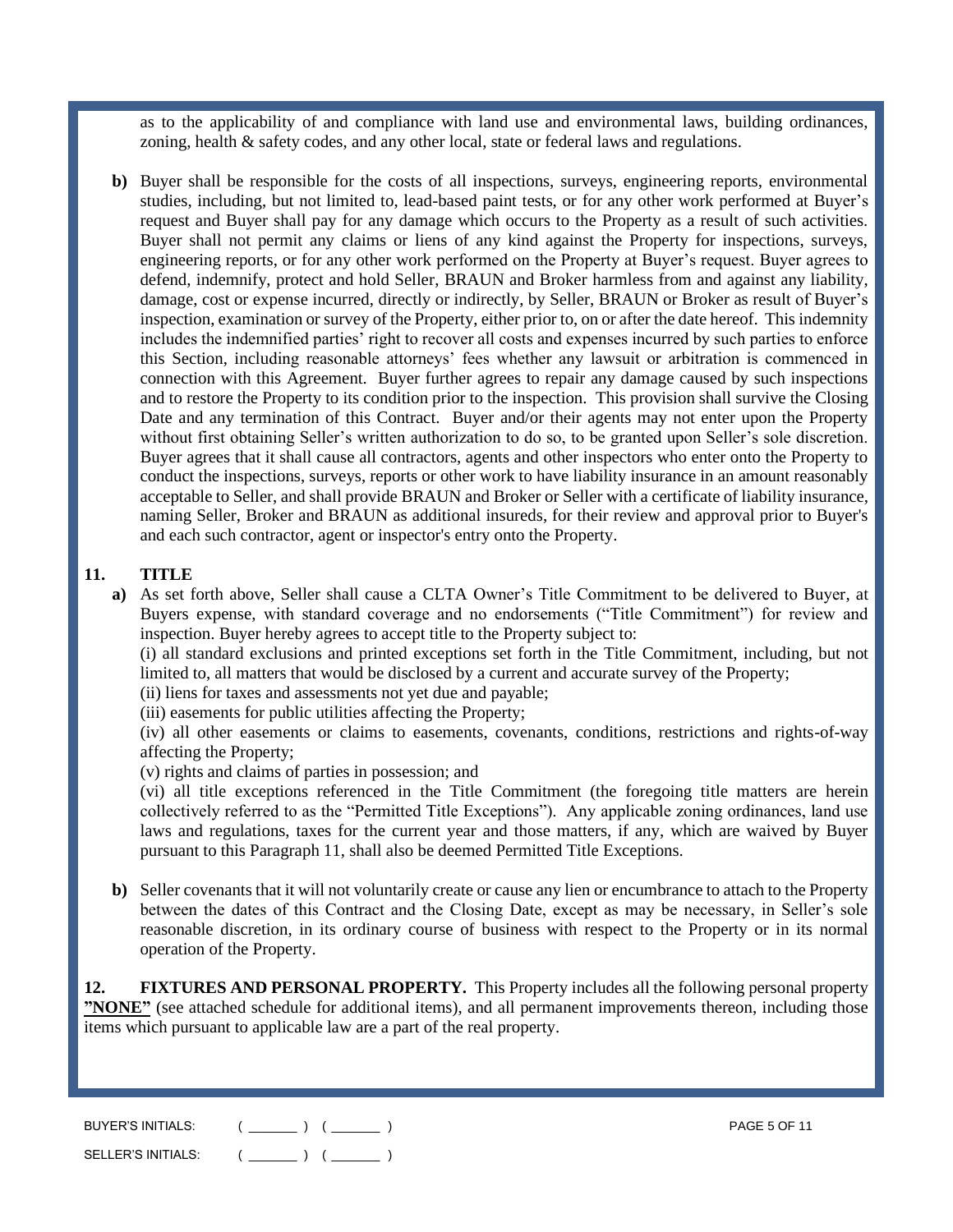as to the applicability of and compliance with land use and environmental laws, building ordinances, zoning, health & safety codes, and any other local, state or federal laws and regulations.

**b)** Buyer shall be responsible for the costs of all inspections, surveys, engineering reports, environmental studies, including, but not limited to, lead-based paint tests, or for any other work performed at Buyer's request and Buyer shall pay for any damage which occurs to the Property as a result of such activities. Buyer shall not permit any claims or liens of any kind against the Property for inspections, surveys, engineering reports, or for any other work performed on the Property at Buyer's request. Buyer agrees to defend, indemnify, protect and hold Seller, BRAUN and Broker harmless from and against any liability, damage, cost or expense incurred, directly or indirectly, by Seller, BRAUN or Broker as result of Buyer's inspection, examination or survey of the Property, either prior to, on or after the date hereof. This indemnity includes the indemnified parties' right to recover all costs and expenses incurred by such parties to enforce this Section, including reasonable attorneys' fees whether any lawsuit or arbitration is commenced in connection with this Agreement. Buyer further agrees to repair any damage caused by such inspections and to restore the Property to its condition prior to the inspection. This provision shall survive the Closing Date and any termination of this Contract. Buyer and/or their agents may not enter upon the Property without first obtaining Seller's written authorization to do so, to be granted upon Seller's sole discretion. Buyer agrees that it shall cause all contractors, agents and other inspectors who enter onto the Property to conduct the inspections, surveys, reports or other work to have liability insurance in an amount reasonably acceptable to Seller, and shall provide BRAUN and Broker or Seller with a certificate of liability insurance, naming Seller, Broker and BRAUN as additional insureds, for their review and approval prior to Buyer's and each such contractor, agent or inspector's entry onto the Property.

#### **11. TITLE**

**a)** As set forth above, Seller shall cause a CLTA Owner's Title Commitment to be delivered to Buyer, at Buyers expense, with standard coverage and no endorsements ("Title Commitment") for review and inspection. Buyer hereby agrees to accept title to the Property subject to:

(i) all standard exclusions and printed exceptions set forth in the Title Commitment, including, but not limited to, all matters that would be disclosed by a current and accurate survey of the Property;

- (ii) liens for taxes and assessments not yet due and payable;
- (iii) easements for public utilities affecting the Property;

(iv) all other easements or claims to easements, covenants, conditions, restrictions and rights-of-way affecting the Property;

(v) rights and claims of parties in possession; and

(vi) all title exceptions referenced in the Title Commitment (the foregoing title matters are herein collectively referred to as the "Permitted Title Exceptions"). Any applicable zoning ordinances, land use laws and regulations, taxes for the current year and those matters, if any, which are waived by Buyer pursuant to this Paragraph 11, shall also be deemed Permitted Title Exceptions.

**b)** Seller covenants that it will not voluntarily create or cause any lien or encumbrance to attach to the Property between the dates of this Contract and the Closing Date, except as may be necessary, in Seller's sole reasonable discretion, in its ordinary course of business with respect to the Property or in its normal operation of the Property.

**12. FIXTURES AND PERSONAL PROPERTY.** This Property includes all the following personal property **"NONE"** (see attached schedule for additional items), and all permanent improvements thereon, including those items which pursuant to applicable law are a part of the real property.

| BUYER'S INITIALS:  | <b>PAGE 5 OF 11</b> |
|--------------------|---------------------|
| SELLER'S INITIALS: |                     |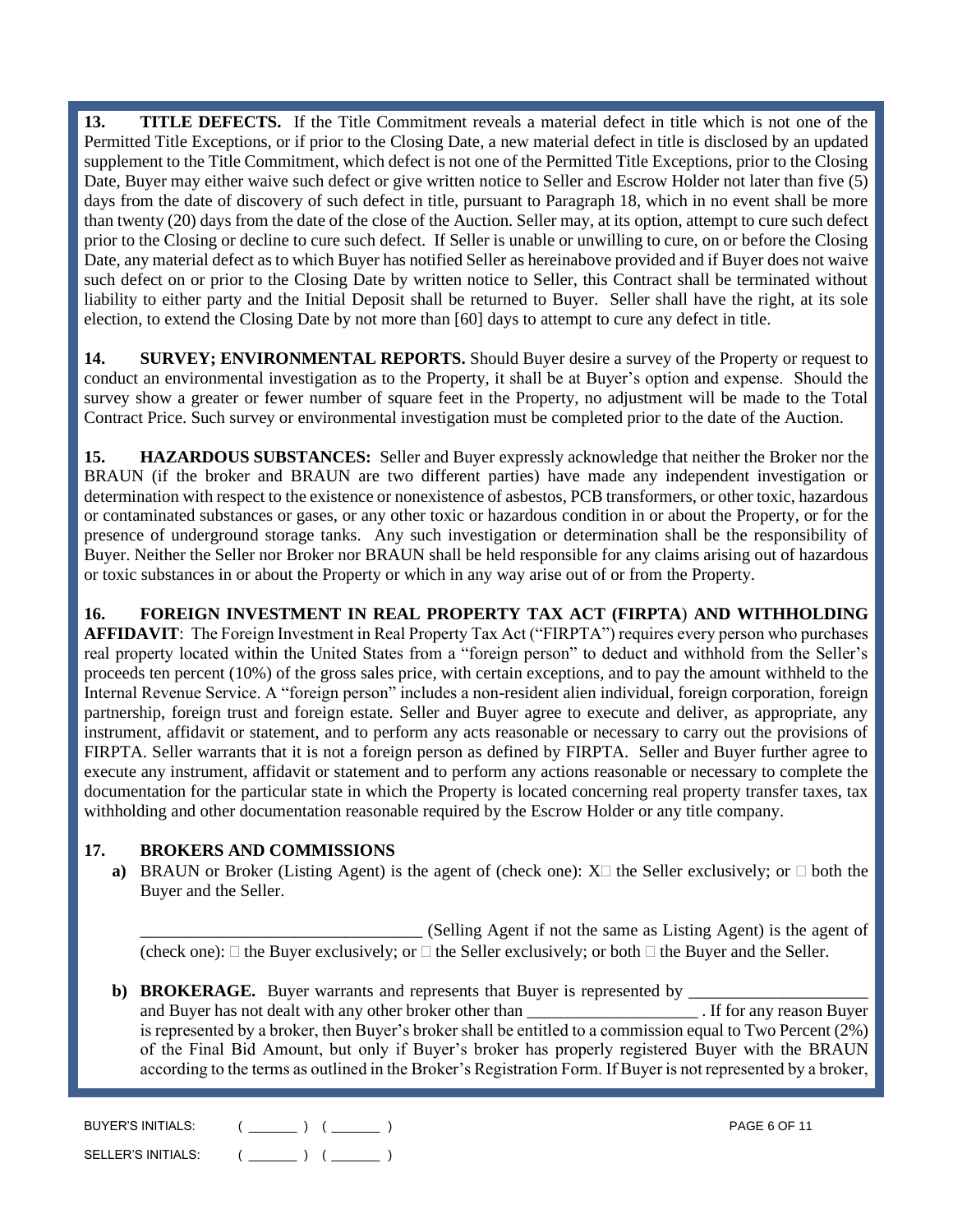**13. TITLE DEFECTS.** If the Title Commitment reveals a material defect in title which is not one of the Permitted Title Exceptions, or if prior to the Closing Date, a new material defect in title is disclosed by an updated supplement to the Title Commitment, which defect is not one of the Permitted Title Exceptions, prior to the Closing Date, Buyer may either waive such defect or give written notice to Seller and Escrow Holder not later than five (5) days from the date of discovery of such defect in title, pursuant to Paragraph 18, which in no event shall be more than twenty (20) days from the date of the close of the Auction. Seller may, at its option, attempt to cure such defect prior to the Closing or decline to cure such defect. If Seller is unable or unwilling to cure, on or before the Closing Date, any material defect as to which Buyer has notified Seller as hereinabove provided and if Buyer does not waive such defect on or prior to the Closing Date by written notice to Seller, this Contract shall be terminated without liability to either party and the Initial Deposit shall be returned to Buyer. Seller shall have the right, at its sole election, to extend the Closing Date by not more than [60] days to attempt to cure any defect in title.

**14. SURVEY; ENVIRONMENTAL REPORTS.** Should Buyer desire a survey of the Property or request to conduct an environmental investigation as to the Property, it shall be at Buyer's option and expense. Should the survey show a greater or fewer number of square feet in the Property, no adjustment will be made to the Total Contract Price. Such survey or environmental investigation must be completed prior to the date of the Auction.

**15. HAZARDOUS SUBSTANCES:** Seller and Buyer expressly acknowledge that neither the Broker nor the BRAUN (if the broker and BRAUN are two different parties) have made any independent investigation or determination with respect to the existence or nonexistence of asbestos, PCB transformers, or other toxic, hazardous or contaminated substances or gases, or any other toxic or hazardous condition in or about the Property, or for the presence of underground storage tanks. Any such investigation or determination shall be the responsibility of Buyer. Neither the Seller nor Broker nor BRAUN shall be held responsible for any claims arising out of hazardous or toxic substances in or about the Property or which in any way arise out of or from the Property.

**16. FOREIGN INVESTMENT IN REAL PROPERTY TAX ACT (FIRPTA**) **AND WITHHOLDING AFFIDAVIT**:The Foreign Investment in Real Property Tax Act ("FIRPTA") requires every person who purchases real property located within the United States from a "foreign person" to deduct and withhold from the Seller's proceeds ten percent (10%) of the gross sales price, with certain exceptions, and to pay the amount withheld to the Internal Revenue Service. A "foreign person" includes a non-resident alien individual, foreign corporation, foreign partnership, foreign trust and foreign estate. Seller and Buyer agree to execute and deliver, as appropriate, any instrument, affidavit or statement, and to perform any acts reasonable or necessary to carry out the provisions of FIRPTA. Seller warrants that it is not a foreign person as defined by FIRPTA. Seller and Buyer further agree to execute any instrument, affidavit or statement and to perform any actions reasonable or necessary to complete the documentation for the particular state in which the Property is located concerning real property transfer taxes, tax withholding and other documentation reasonable required by the Escrow Holder or any title company.

# **17. BROKERS AND COMMISSIONS**

**a)** BRAUN or Broker (Listing Agent) is the agent of (check one):  $X \Box$  the Seller exclusively; or  $\Box$  both the Buyer and the Seller.

\_\_\_\_\_\_\_\_\_\_\_\_\_\_\_\_\_\_\_\_\_\_\_\_\_\_\_\_\_\_\_\_\_ (Selling Agent if not the same as Listing Agent) is the agent of (check one):  $\Box$  the Buyer exclusively; or  $\Box$  the Seller exclusively; or both  $\Box$  the Buyer and the Seller.

**b) BROKERAGE.** Buyer warrants and represents that Buyer is represented by \_\_\_\_\_\_\_\_\_\_\_\_\_\_\_\_\_\_\_\_\_ and Buyer has not dealt with any other broker other than the set of the set of the set of the set of the set of the set of the set of the set of the set of the set of the set of the set of the set of the set of the set of is represented by a broker, then Buyer's broker shall be entitled to a commission equal to Two Percent (2%) of the Final Bid Amount, but only if Buyer's broker has properly registered Buyer with the BRAUN according to the terms as outlined in the Broker's Registration Form. If Buyer is not represented by a broker,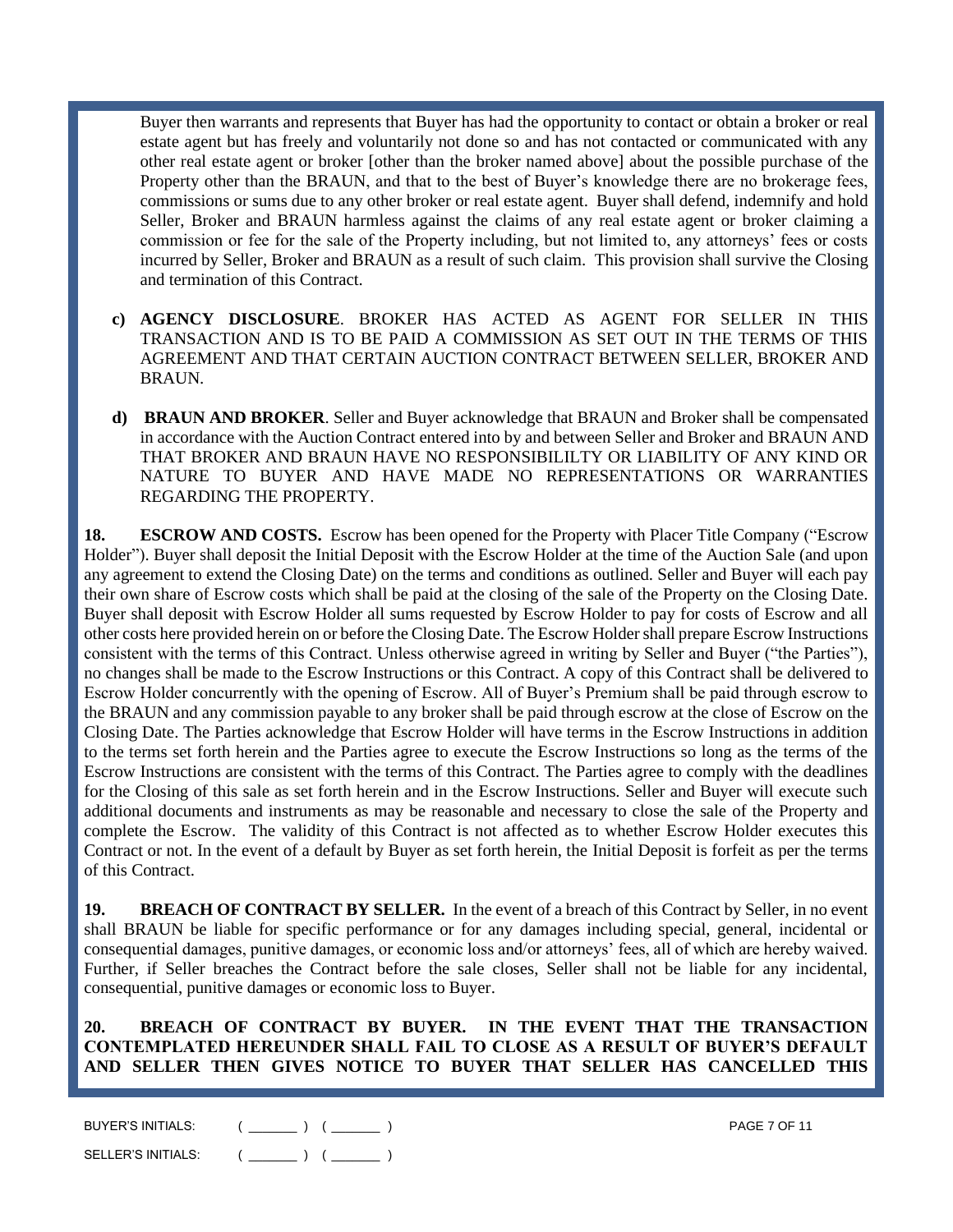Buyer then warrants and represents that Buyer has had the opportunity to contact or obtain a broker or real estate agent but has freely and voluntarily not done so and has not contacted or communicated with any other real estate agent or broker [other than the broker named above] about the possible purchase of the Property other than the BRAUN, and that to the best of Buyer's knowledge there are no brokerage fees, commissions or sums due to any other broker or real estate agent. Buyer shall defend, indemnify and hold Seller, Broker and BRAUN harmless against the claims of any real estate agent or broker claiming a commission or fee for the sale of the Property including, but not limited to, any attorneys' fees or costs incurred by Seller, Broker and BRAUN as a result of such claim. This provision shall survive the Closing and termination of this Contract.

- **c) AGENCY DISCLOSURE**. BROKER HAS ACTED AS AGENT FOR SELLER IN THIS TRANSACTION AND IS TO BE PAID A COMMISSION AS SET OUT IN THE TERMS OF THIS AGREEMENT AND THAT CERTAIN AUCTION CONTRACT BETWEEN SELLER, BROKER AND BRAUN.
- **d) BRAUN AND BROKER**. Seller and Buyer acknowledge that BRAUN and Broker shall be compensated in accordance with the Auction Contract entered into by and between Seller and Broker and BRAUN AND THAT BROKER AND BRAUN HAVE NO RESPONSIBILILTY OR LIABILITY OF ANY KIND OR NATURE TO BUYER AND HAVE MADE NO REPRESENTATIONS OR WARRANTIES REGARDING THE PROPERTY.

**18. ESCROW AND COSTS.** Escrow has been opened for the Property with Placer Title Company ("Escrow Holder"). Buyer shall deposit the Initial Deposit with the Escrow Holder at the time of the Auction Sale (and upon any agreement to extend the Closing Date) on the terms and conditions as outlined. Seller and Buyer will each pay their own share of Escrow costs which shall be paid at the closing of the sale of the Property on the Closing Date. Buyer shall deposit with Escrow Holder all sums requested by Escrow Holder to pay for costs of Escrow and all other costs here provided herein on or before the Closing Date. The Escrow Holder shall prepare Escrow Instructions consistent with the terms of this Contract. Unless otherwise agreed in writing by Seller and Buyer ("the Parties"), no changes shall be made to the Escrow Instructions or this Contract. A copy of this Contract shall be delivered to Escrow Holder concurrently with the opening of Escrow. All of Buyer's Premium shall be paid through escrow to the BRAUN and any commission payable to any broker shall be paid through escrow at the close of Escrow on the Closing Date. The Parties acknowledge that Escrow Holder will have terms in the Escrow Instructions in addition to the terms set forth herein and the Parties agree to execute the Escrow Instructions so long as the terms of the Escrow Instructions are consistent with the terms of this Contract. The Parties agree to comply with the deadlines for the Closing of this sale as set forth herein and in the Escrow Instructions. Seller and Buyer will execute such additional documents and instruments as may be reasonable and necessary to close the sale of the Property and complete the Escrow. The validity of this Contract is not affected as to whether Escrow Holder executes this Contract or not. In the event of a default by Buyer as set forth herein, the Initial Deposit is forfeit as per the terms of this Contract.

**19. BREACH OF CONTRACT BY SELLER.** In the event of a breach of this Contract by Seller, in no event shall BRAUN be liable for specific performance or for any damages including special, general, incidental or consequential damages, punitive damages, or economic loss and/or attorneys' fees, all of which are hereby waived. Further, if Seller breaches the Contract before the sale closes, Seller shall not be liable for any incidental, consequential, punitive damages or economic loss to Buyer.

**20. BREACH OF CONTRACT BY BUYER. IN THE EVENT THAT THE TRANSACTION CONTEMPLATED HEREUNDER SHALL FAIL TO CLOSE AS A RESULT OF BUYER'S DEFAULT AND SELLER THEN GIVES NOTICE TO BUYER THAT SELLER HAS CANCELLED THIS** 

| BUYER'S INITIALS:  | <b>PAGE 7 OF 11</b> |
|--------------------|---------------------|
| SELLER'S INITIALS: |                     |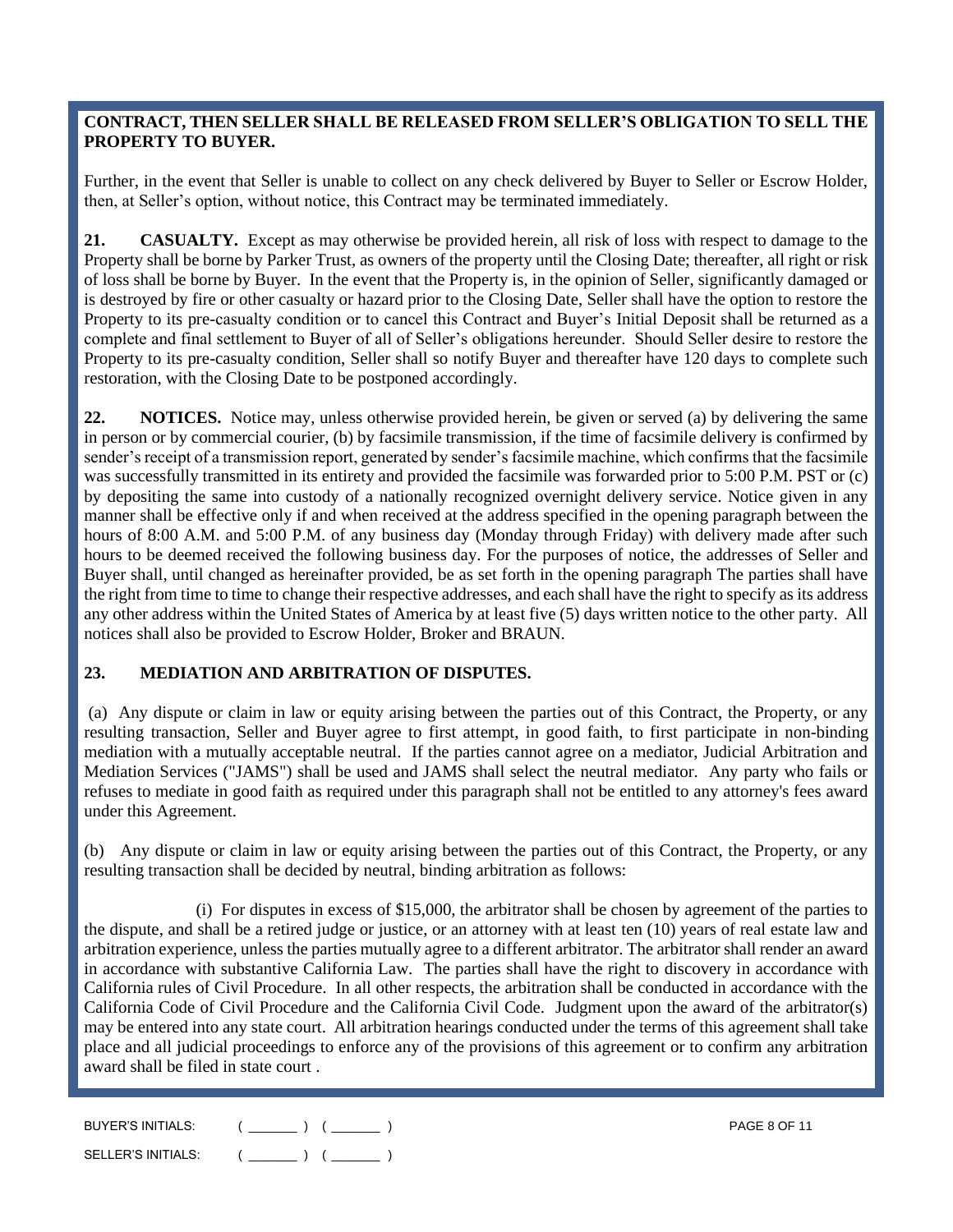## **CONTRACT, THEN SELLER SHALL BE RELEASED FROM SELLER'S OBLIGATION TO SELL THE PROPERTY TO BUYER.**

Further, in the event that Seller is unable to collect on any check delivered by Buyer to Seller or Escrow Holder, then, at Seller's option, without notice, this Contract may be terminated immediately.

**21. CASUALTY.** Except as may otherwise be provided herein, all risk of loss with respect to damage to the Property shall be borne by Parker Trust, as owners of the property until the Closing Date; thereafter, all right or risk of loss shall be borne by Buyer. In the event that the Property is, in the opinion of Seller, significantly damaged or is destroyed by fire or other casualty or hazard prior to the Closing Date, Seller shall have the option to restore the Property to its pre-casualty condition or to cancel this Contract and Buyer's Initial Deposit shall be returned as a complete and final settlement to Buyer of all of Seller's obligations hereunder. Should Seller desire to restore the Property to its pre-casualty condition, Seller shall so notify Buyer and thereafter have 120 days to complete such restoration, with the Closing Date to be postponed accordingly.

**22. NOTICES.** Notice may, unless otherwise provided herein, be given or served (a) by delivering the same in person or by commercial courier, (b) by facsimile transmission, if the time of facsimile delivery is confirmed by sender's receipt of a transmission report, generated by sender's facsimile machine, which confirms that the facsimile was successfully transmitted in its entirety and provided the facsimile was forwarded prior to 5:00 P.M. PST or (c) by depositing the same into custody of a nationally recognized overnight delivery service. Notice given in any manner shall be effective only if and when received at the address specified in the opening paragraph between the hours of 8:00 A.M. and 5:00 P.M. of any business day (Monday through Friday) with delivery made after such hours to be deemed received the following business day. For the purposes of notice, the addresses of Seller and Buyer shall, until changed as hereinafter provided, be as set forth in the opening paragraph The parties shall have the right from time to time to change their respective addresses, and each shall have the right to specify as its address any other address within the United States of America by at least five (5) days written notice to the other party. All notices shall also be provided to Escrow Holder, Broker and BRAUN.

# **23. MEDIATION AND ARBITRATION OF DISPUTES.**

(a) Any dispute or claim in law or equity arising between the parties out of this Contract, the Property, or any resulting transaction, Seller and Buyer agree to first attempt, in good faith, to first participate in non-binding mediation with a mutually acceptable neutral. If the parties cannot agree on a mediator, Judicial Arbitration and Mediation Services ("JAMS") shall be used and JAMS shall select the neutral mediator. Any party who fails or refuses to mediate in good faith as required under this paragraph shall not be entitled to any attorney's fees award under this Agreement.

(b) Any dispute or claim in law or equity arising between the parties out of this Contract, the Property, or any resulting transaction shall be decided by neutral, binding arbitration as follows:

(i) For disputes in excess of \$15,000, the arbitrator shall be chosen by agreement of the parties to the dispute, and shall be a retired judge or justice, or an attorney with at least ten (10) years of real estate law and arbitration experience, unless the parties mutually agree to a different arbitrator. The arbitrator shall render an award in accordance with substantive California Law. The parties shall have the right to discovery in accordance with California rules of Civil Procedure. In all other respects, the arbitration shall be conducted in accordance with the California Code of Civil Procedure and the California Civil Code. Judgment upon the award of the arbitrator(s) may be entered into any state court. All arbitration hearings conducted under the terms of this agreement shall take place and all judicial proceedings to enforce any of the provisions of this agreement or to confirm any arbitration award shall be filed in state court .

| BUYER'S INITIALS:  | <b>PAGE 8 OF 11</b> |
|--------------------|---------------------|
| SELLER'S INITIALS: |                     |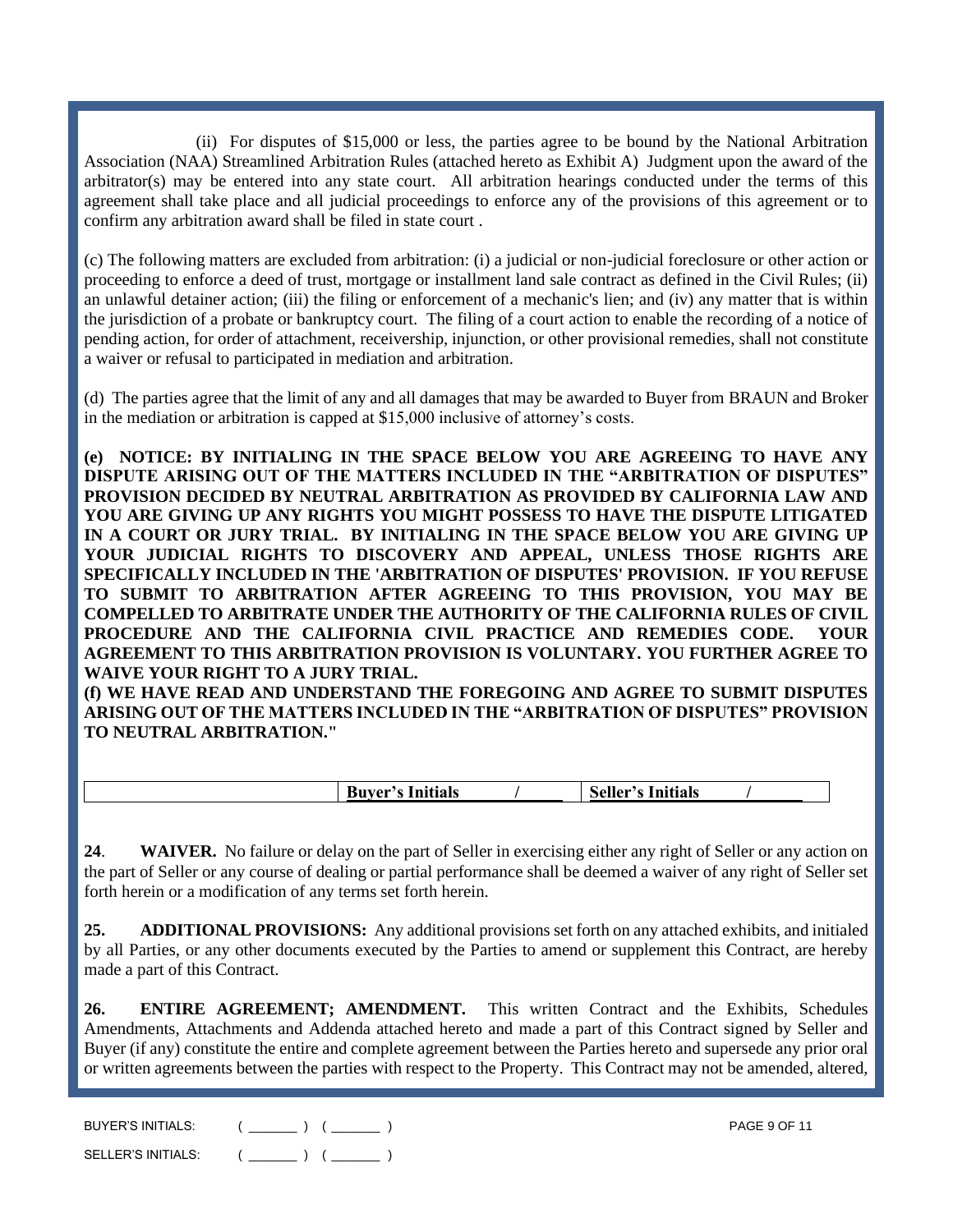(ii) For disputes of \$15,000 or less, the parties agree to be bound by the National Arbitration Association (NAA) Streamlined Arbitration Rules (attached hereto as Exhibit A) Judgment upon the award of the arbitrator(s) may be entered into any state court. All arbitration hearings conducted under the terms of this agreement shall take place and all judicial proceedings to enforce any of the provisions of this agreement or to confirm any arbitration award shall be filed in state court .

(c) The following matters are excluded from arbitration: (i) a judicial or non-judicial foreclosure or other action or proceeding to enforce a deed of trust, mortgage or installment land sale contract as defined in the Civil Rules; (ii) an unlawful detainer action; (iii) the filing or enforcement of a mechanic's lien; and (iv) any matter that is within the jurisdiction of a probate or bankruptcy court. The filing of a court action to enable the recording of a notice of pending action, for order of attachment, receivership, injunction, or other provisional remedies, shall not constitute a waiver or refusal to participated in mediation and arbitration.

(d) The parties agree that the limit of any and all damages that may be awarded to Buyer from BRAUN and Broker in the mediation or arbitration is capped at \$15,000 inclusive of attorney's costs.

**(NOTICE: BY INITIALING IN THE SPACE BELOW YOU ARE AGREEING TO HAVE ANY DISPUTE ARISING OUT OF THE MATTERS INCLUDED IN THE "ARBITRATION OF DISPUTES" PROVISION DECIDED BY NEUTRAL ARBITRATION AS PROVIDED BY CALIFORNIA LAW AND YOU ARE GIVING UP ANY RIGHTS YOU MIGHT POSSESS TO HAVE THE DISPUTE LITIGATED IN A COURT OR JURY TRIAL. BY INITIALING IN THE SPACE BELOW YOU ARE GIVING UP YOUR JUDICIAL RIGHTS TO DISCOVERY AND APPEAL, UNLESS THOSE RIGHTS ARE SPECIFICALLY INCLUDED IN THE 'ARBITRATION OF DISPUTES' PROVISION. IF YOU REFUSE TO SUBMIT TO ARBITRATION AFTER AGREEING TO THIS PROVISION, YOU MAY BE COMPELLED TO ARBITRATE UNDER THE AUTHORITY OF THE CALIFORNIA RULES OF CIVIL PROCEDURE AND THE CALIFORNIA CIVIL PRACTICE AND REMEDIES CODE. YOUR AGREEMENT TO THIS ARBITRATION PROVISION IS VOLUNTARY. YOU FURTHER AGREE TO WAIVE YOUR RIGHT TO A JURY TRIAL.**

**(f) WE HAVE READ AND UNDERSTAND THE FOREGOING AND AGREE TO SUBMIT DISPUTES ARISING OUT OF THE MATTERS INCLUDED IN THE "ARBITRATION OF DISPUTES" PROVISION TO NEUTRAL ARBITRATION."**

**24**. **WAIVER.** No failure or delay on the part of Seller in exercising either any right of Seller or any action on the part of Seller or any course of dealing or partial performance shall be deemed a waiver of any right of Seller set forth herein or a modification of any terms set forth herein.

**25. ADDITIONAL PROVISIONS:** Any additional provisions set forth on any attached exhibits, and initialed by all Parties, or any other documents executed by the Parties to amend or supplement this Contract, are hereby made a part of this Contract.

**26. ENTIRE AGREEMENT; AMENDMENT.** This written Contract and the Exhibits, Schedules Amendments, Attachments and Addenda attached hereto and made a part of this Contract signed by Seller and Buyer (if any) constitute the entire and complete agreement between the Parties hereto and supersede any prior oral or written agreements between the parties with respect to the Property. This Contract may not be amended, altered,

| <b>BUYER'S INITIALS:</b> | <b>PAGE 9 OF 11</b> |
|--------------------------|---------------------|
| SELLER'S INITIALS:       |                     |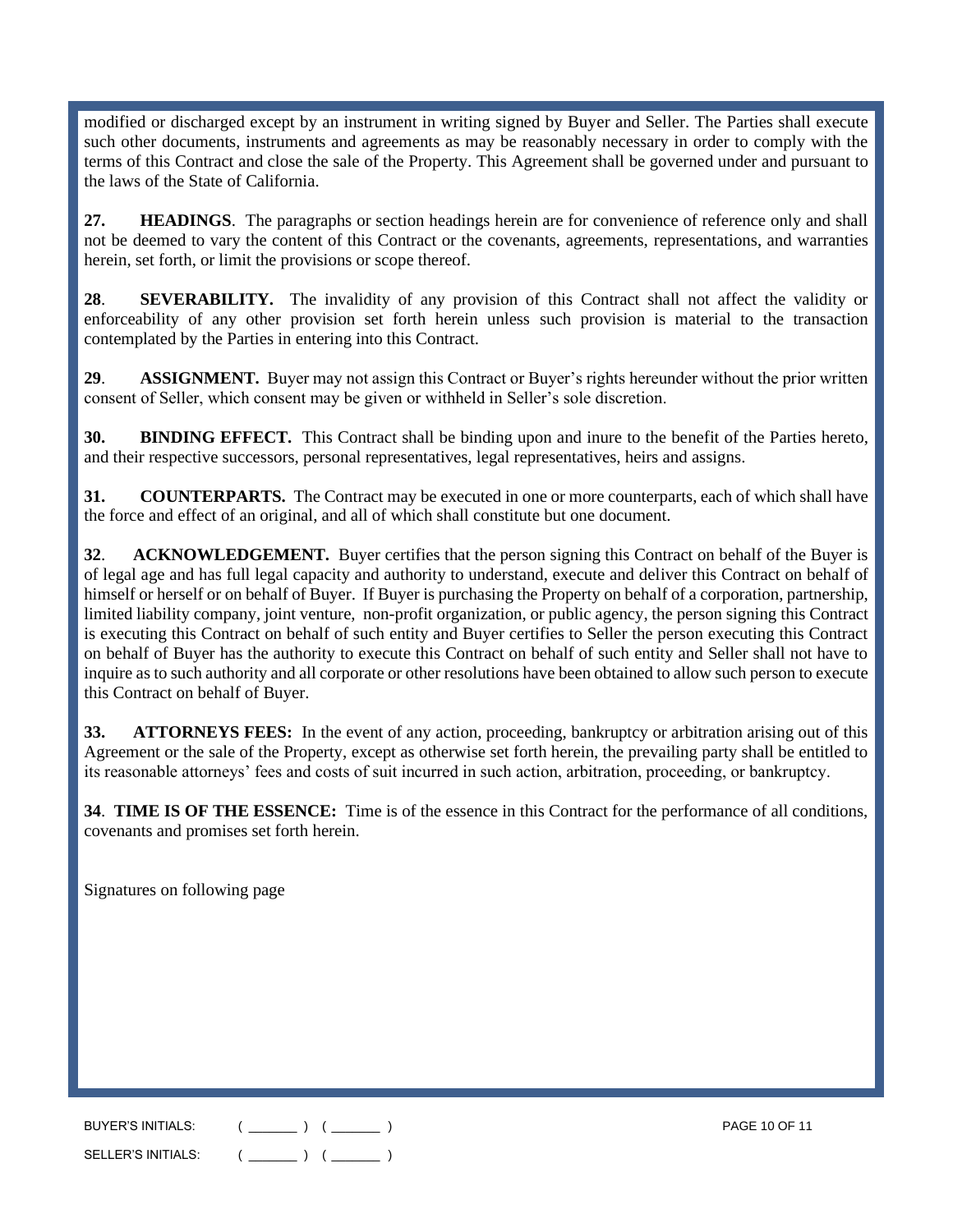modified or discharged except by an instrument in writing signed by Buyer and Seller. The Parties shall execute such other documents, instruments and agreements as may be reasonably necessary in order to comply with the terms of this Contract and close the sale of the Property. This Agreement shall be governed under and pursuant to the laws of the State of California.

**27. HEADINGS**. The paragraphs or section headings herein are for convenience of reference only and shall not be deemed to vary the content of this Contract or the covenants, agreements, representations, and warranties herein, set forth, or limit the provisions or scope thereof.

**28**. **SEVERABILITY.** The invalidity of any provision of this Contract shall not affect the validity or enforceability of any other provision set forth herein unless such provision is material to the transaction contemplated by the Parties in entering into this Contract.

**29**. **ASSIGNMENT.** Buyer may not assign this Contract or Buyer's rights hereunder without the prior written consent of Seller, which consent may be given or withheld in Seller's sole discretion.

**30. BINDING EFFECT.** This Contract shall be binding upon and inure to the benefit of the Parties hereto, and their respective successors, personal representatives, legal representatives, heirs and assigns.

**31. COUNTERPARTS.** The Contract may be executed in one or more counterparts, each of which shall have the force and effect of an original, and all of which shall constitute but one document.

**32**. **ACKNOWLEDGEMENT.** Buyer certifies that the person signing this Contract on behalf of the Buyer is of legal age and has full legal capacity and authority to understand, execute and deliver this Contract on behalf of himself or herself or on behalf of Buyer. If Buyer is purchasing the Property on behalf of a corporation, partnership, limited liability company, joint venture, non-profit organization, or public agency, the person signing this Contract is executing this Contract on behalf of such entity and Buyer certifies to Seller the person executing this Contract on behalf of Buyer has the authority to execute this Contract on behalf of such entity and Seller shall not have to inquire as to such authority and all corporate or other resolutions have been obtained to allow such person to execute this Contract on behalf of Buyer.

**33. ATTORNEYS FEES:** In the event of any action, proceeding, bankruptcy or arbitration arising out of this Agreement or the sale of the Property, except as otherwise set forth herein, the prevailing party shall be entitled to its reasonable attorneys' fees and costs of suit incurred in such action, arbitration, proceeding, or bankruptcy.

**34**. **TIME IS OF THE ESSENCE:** Time is of the essence in this Contract for the performance of all conditions, covenants and promises set forth herein.

Signatures on following page

BUYER'S INITIALS: ( \_\_\_\_\_\_\_ ) ( \_\_\_\_\_\_\_ ) PAGE 10 OF 11 SELLER'S INITIALS:  $($  \_\_\_\_\_\_\_  $)$   $($  \_\_\_\_\_\_  $)$